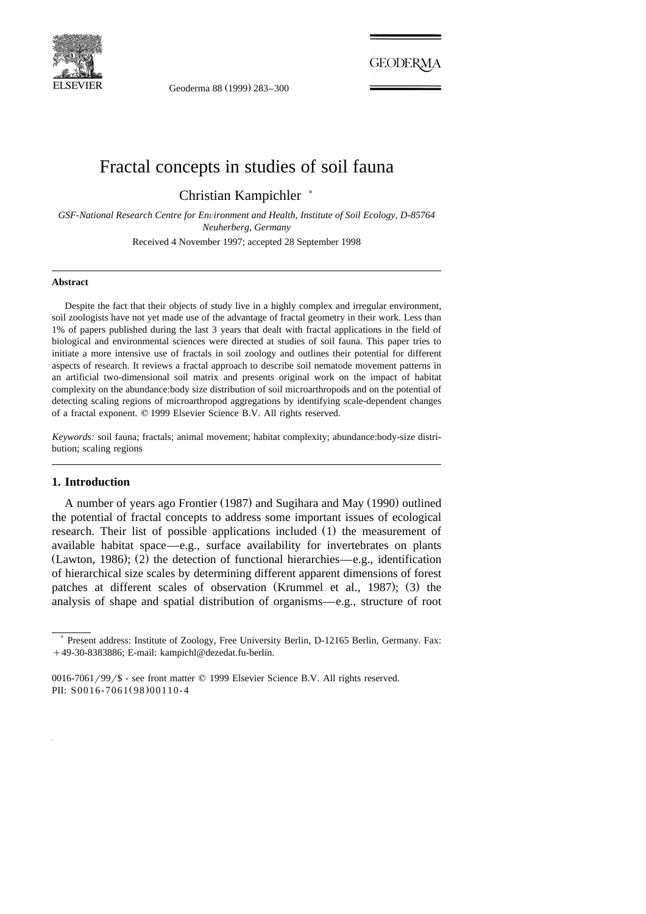

**GEODERMA** 

Geoderma 88 (1999) 283-300

# Fractal concepts in studies of soil fauna

Christian Kampichler \*

*GSF-National Research Centre for En*Õ*ironment and Health, Institute of Soil Ecology, D-85764 Neuherberg, Germany*

Received 4 November 1997; accepted 28 September 1998

#### **Abstract**

Despite the fact that their objects of study live in a highly complex and irregular environment, soil zoologists have not yet made use of the advantage of fractal geometry in their work. Less than 1% of papers published during the last 3 years that dealt with fractal applications in the field of biological and environmental sciences were directed at studies of soil fauna. This paper tries to initiate a more intensive use of fractals in soil zoology and outlines their potential for different aspects of research. It reviews a fractal approach to describe soil nematode movement patterns in an artificial two-dimensional soil matrix and presents original work on the impact of habitat complexity on the abundance:body size distribution of soil microarthropods and on the potential of detecting scaling regions of microarthropod aggregations by identifying scale-dependent changes of a fractal exponent.  $© 1999$  Elsevier Science B.V. All rights reserved.

*Keywords:* soil fauna; fractals; animal movement; habitat complexity; abundance:body-size distribution; scaling regions

## **1. Introduction**

A number of years ago Frontier (1987) and Sugihara and May (1990) outlined the potential of fractal concepts to address some important issues of ecological research. Their list of possible applications included  $(1)$  the measurement of available habitat space—e.g., surface availability for invertebrates on plants  $(Lawton, 1986)$ ;  $(2)$  the detection of functional hierarchies—e.g., identification of hierarchical size scales by determining different apparent dimensions of forest patches at different scales of observation (Krummel et al., 1987); (3) the analysis of shape and spatial distribution of organisms—e.g., structure of root

<sup>)</sup> Present address: Institute of Zoology, Free University Berlin, D-12165 Berlin, Germany. Fax: +49-30-8383886; E-mail: kampichl@dezedat.fu-berlin.

<sup>0016-7061/99/\$ -</sup> see front matter  $\odot$  1999 Elsevier Science B.V. All rights reserved. PII: S0016-7061(98)00110-4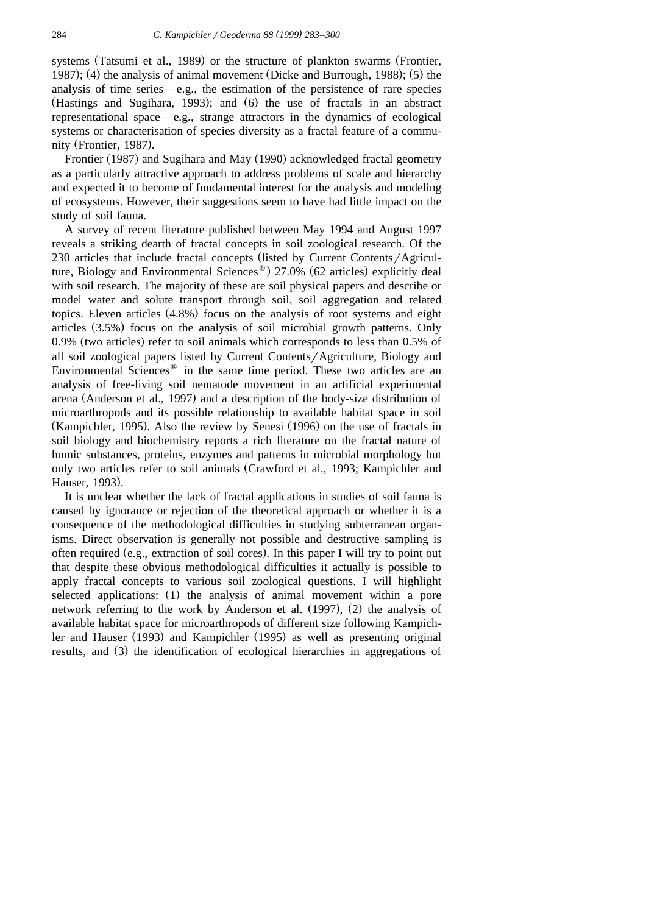systems (Tatsumi et al., 1989) or the structure of plankton swarms (Frontier, 1987); (4) the analysis of animal movement (Dicke and Burrough, 1988); (5) the analysis of time series—e.g., the estimation of the persistence of rare species (Hastings and Sugihara, 1993); and  $(6)$  the use of fractals in an abstract representational space—e.g., strange attractors in the dynamics of ecological systems or characterisation of species diversity as a fractal feature of a community (Frontier, 1987).

Frontier (1987) and Sugihara and May (1990) acknowledged fractal geometry as a particularly attractive approach to address problems of scale and hierarchy and expected it to become of fundamental interest for the analysis and modeling of ecosystems. However, their suggestions seem to have had little impact on the study of soil fauna.

A survey of recent literature published between May 1994 and August 1997 reveals a striking dearth of fractal concepts in soil zoological research. Of the 230 articles that include fractal concepts (listed by Current Contents / Agriculture, Biology and Environmental Sciences<sup>®</sup>) 27.0% (62 articles) explicitly deal with soil research. The majority of these are soil physical papers and describe or model water and solute transport through soil, soil aggregation and related topics. Eleven articles  $(4.8\%)$  focus on the analysis of root systems and eight articles  $(3.5\%)$  focus on the analysis of soil microbial growth patterns. Only  $0.9\%$  (two articles) refer to soil animals which corresponds to less than  $0.5\%$  of all soil zoological papers listed by Current Contents/Agriculture, Biology and Environmental Sciences<sup>®</sup> in the same time period. These two articles are an analysis of free-living soil nematode movement in an artificial experimental arena (Anderson et al., 1997) and a description of the body-size distribution of microarthropods and its possible relationship to available habitat space in soil (Kampichler, 1995). Also the review by Senesi  $(1996)$  on the use of fractals in soil biology and biochemistry reports a rich literature on the fractal nature of humic substances, proteins, enzymes and patterns in microbial morphology but only two articles refer to soil animals Crawford et al., 1993; Kampichler and Ž Hauser, 1993).

It is unclear whether the lack of fractal applications in studies of soil fauna is caused by ignorance or rejection of the theoretical approach or whether it is a consequence of the methodological difficulties in studying subterranean organisms. Direct observation is generally not possible and destructive sampling is often required (e.g., extraction of soil cores). In this paper I will try to point out that despite these obvious methodological difficulties it actually is possible to apply fractal concepts to various soil zoological questions. I will highlight selected applications:  $(1)$  the analysis of animal movement within a pore network referring to the work by Anderson et al.  $(1997)$ ,  $(2)$  the analysis of available habitat space for microarthropods of different size following Kampichler and Hauser (1993) and Kampichler (1995) as well as presenting original results, and (3) the identification of ecological hierarchies in aggregations of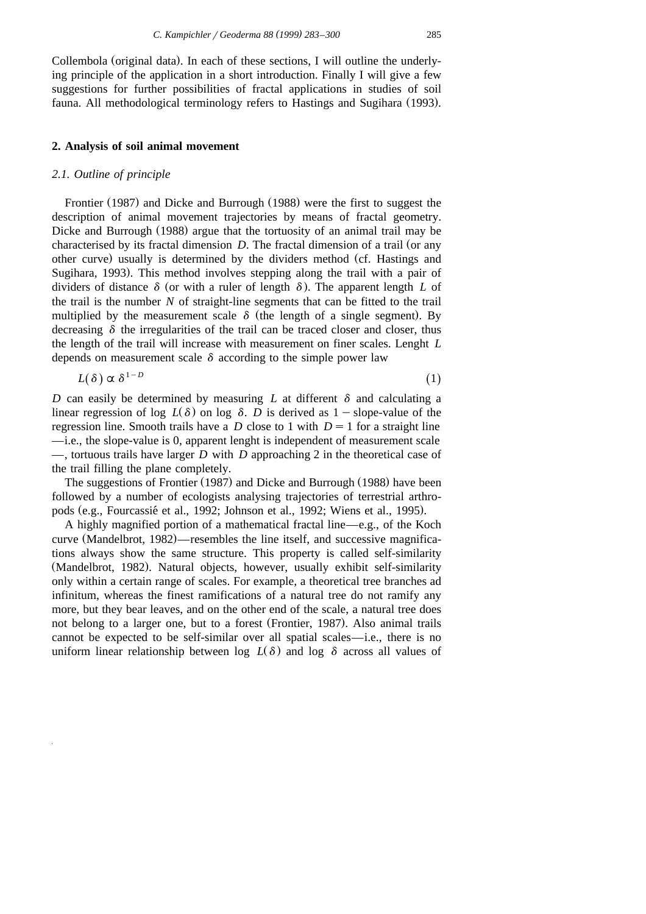Collembola (original data). In each of these sections, I will outline the underlying principle of the application in a short introduction. Finally I will give a few suggestions for further possibilities of fractal applications in studies of soil fauna. All methodological terminology refers to Hastings and Sugihara (1993).

## **2. Analysis of soil animal movement**

#### *2.1. Outline of principle*

Frontier (1987) and Dicke and Burrough (1988) were the first to suggest the description of animal movement trajectories by means of fractal geometry. Dicke and Burrough (1988) argue that the tortuosity of an animal trail may be characterised by its fractal dimension *D*. The fractal dimension of a trail (or any other curve) usually is determined by the dividers method (cf. Hastings and Sugihara, 1993). This method involves stepping along the trail with a pair of dividers of distance  $\delta$  (or with a ruler of length  $\delta$ ). The apparent length *L* of the trail is the number *N* of straight-line segments that can be fitted to the trail multiplied by the measurement scale  $\delta$  (the length of a single segment). By decreasing  $\delta$  the irregularities of the trail can be traced closer and closer, thus the length of the trail will increase with measurement on finer scales. Lenght *L* depends on measurement scale  $\delta$  according to the simple power law

 $L(\delta) \propto \delta^{1-D}$  (1)

*D* can easily be determined by measuring *L* at different  $\delta$  and calculating a linear regression of log  $L(\delta)$  on log  $\delta$ . *D* is derived as  $1$  – slope-value of the regression line. Smooth trails have a *D* close to 1 with  $D = 1$  for a straight line —i.e., the slope-value is 0, apparent lenght is independent of measurement scale —, tortuous trails have larger *D* with *D* approaching 2 in the theoretical case of the trail filling the plane completely.

The suggestions of Frontier (1987) and Dicke and Burrough (1988) have been followed by a number of ecologists analysing trajectories of terrestrial arthropods (e.g., Fourcassié et al., 1992; Johnson et al., 1992; Wiens et al., 1995).

A highly magnified portion of a mathematical fractal line—e.g., of the Koch curve (Mandelbrot, 1982)—resembles the line itself, and successive magnifications always show the same structure. This property is called self-similarity (Mandelbrot, 1982). Natural objects, however, usually exhibit self-similarity only within a certain range of scales. For example, a theoretical tree branches ad infinitum, whereas the finest ramifications of a natural tree do not ramify any more, but they bear leaves, and on the other end of the scale, a natural tree does not belong to a larger one, but to a forest (Frontier, 1987). Also animal trails cannot be expected to be self-similar over all spatial scales—i.e., there is no uniform linear relationship between log  $L(\delta)$  and log  $\delta$  across all values of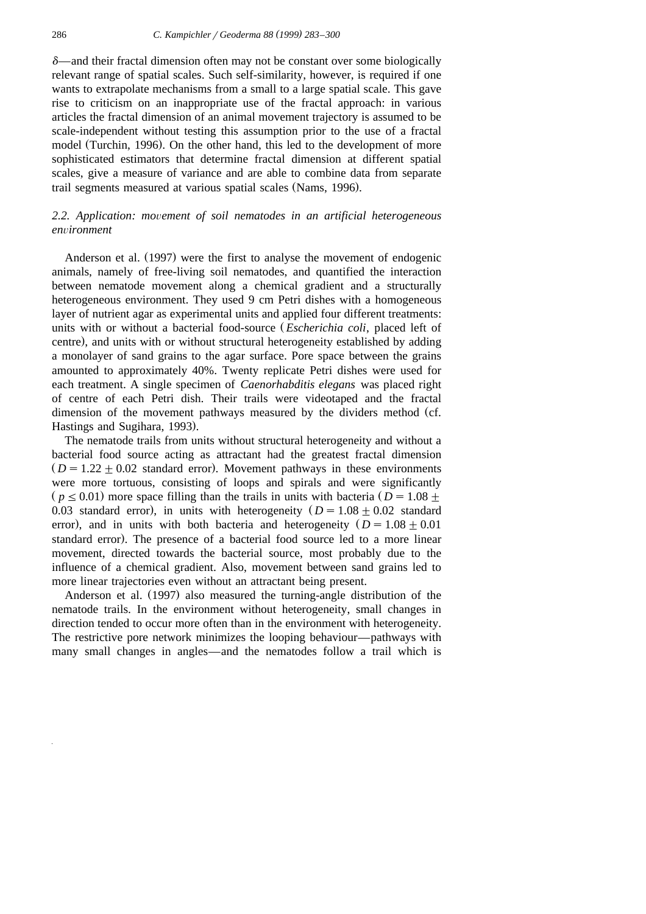$\delta$ —and their fractal dimension often may not be constant over some biologically relevant range of spatial scales. Such self-similarity, however, is required if one wants to extrapolate mechanisms from a small to a large spatial scale. This gave rise to criticism on an inappropriate use of the fractal approach: in various articles the fractal dimension of an animal movement trajectory is assumed to be scale-independent without testing this assumption prior to the use of a fractal model (Turchin, 1996). On the other hand, this led to the development of more sophisticated estimators that determine fractal dimension at different spatial scales, give a measure of variance and are able to combine data from separate trail segments measured at various spatial scales (Nams, 1996).

## 2.2. Application: movement of soil nematodes in an artificial heterogeneous *en*Õ*ironment*

Anderson et al. (1997) were the first to analyse the movement of endogenic animals, namely of free-living soil nematodes, and quantified the interaction between nematode movement along a chemical gradient and a structurally heterogeneous environment. They used 9 cm Petri dishes with a homogeneous layer of nutrient agar as experimental units and applied four different treatments: units with or without a bacterial food-source (*Escherichia coli*, placed left of centre), and units with or without structural heterogeneity established by adding a monolayer of sand grains to the agar surface. Pore space between the grains amounted to approximately 40%. Twenty replicate Petri dishes were used for each treatment. A single specimen of *Caenorhabditis elegans* was placed right of centre of each Petri dish. Their trails were videotaped and the fractal dimension of the movement pathways measured by the dividers method (cf. Hastings and Sugihara, 1993).

The nematode trails from units without structural heterogeneity and without a bacterial food source acting as attractant had the greatest fractal dimension  $(D = 1.22 \pm 0.02$  standard error). Movement pathways in these environments were more tortuous, consisting of loops and spirals and were significantly  $p \leq 0.01$  more space filling than the trails in units with bacteria  $(D = 1.08 + 1.08)$ 0.03 standard error), in units with heterogeneity  $(D = 1.08 \pm 0.02$  standard error), and in units with both bacteria and heterogeneity  $(D = 1.08 \pm 0.01)$ standard error). The presence of a bacterial food source led to a more linear movement, directed towards the bacterial source, most probably due to the influence of a chemical gradient. Also, movement between sand grains led to more linear trajectories even without an attractant being present.

Anderson et al. (1997) also measured the turning-angle distribution of the nematode trails. In the environment without heterogeneity, small changes in direction tended to occur more often than in the environment with heterogeneity. The restrictive pore network minimizes the looping behaviour—pathways with many small changes in angles—and the nematodes follow a trail which is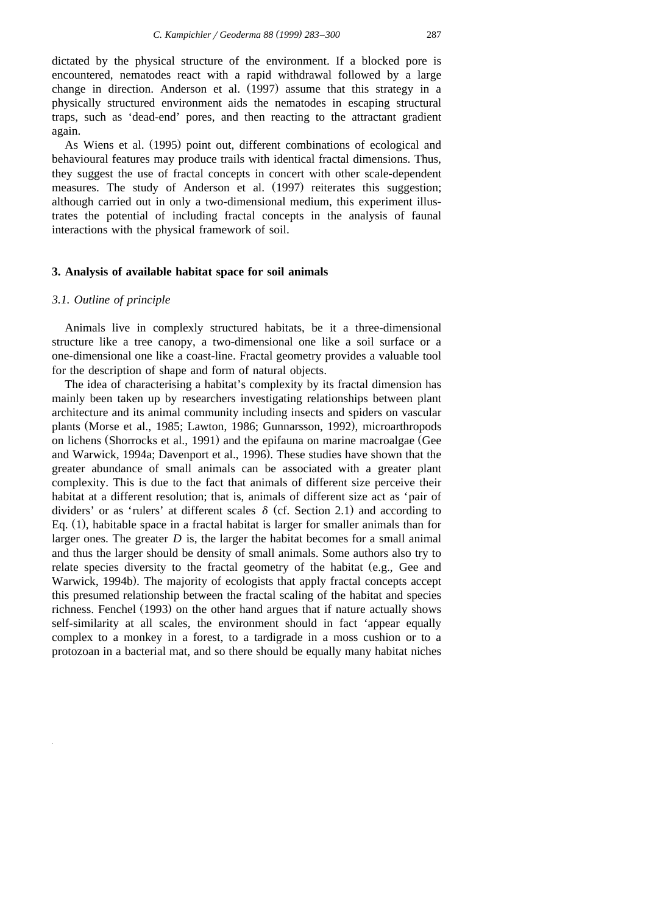dictated by the physical structure of the environment. If a blocked pore is encountered, nematodes react with a rapid withdrawal followed by a large change in direction. Anderson et al. (1997) assume that this strategy in a physically structured environment aids the nematodes in escaping structural traps, such as 'dead-end' pores, and then reacting to the attractant gradient again.

As Wiens et al. (1995) point out, different combinations of ecological and behavioural features may produce trails with identical fractal dimensions. Thus, they suggest the use of fractal concepts in concert with other scale-dependent measures. The study of Anderson et al. (1997) reiterates this suggestion; although carried out in only a two-dimensional medium, this experiment illustrates the potential of including fractal concepts in the analysis of faunal interactions with the physical framework of soil.

## **3. Analysis of available habitat space for soil animals**

## *3.1. Outline of principle*

Animals live in complexly structured habitats, be it a three-dimensional structure like a tree canopy, a two-dimensional one like a soil surface or a one-dimensional one like a coast-line. Fractal geometry provides a valuable tool for the description of shape and form of natural objects.

The idea of characterising a habitat's complexity by its fractal dimension has mainly been taken up by researchers investigating relationships between plant architecture and its animal community including insects and spiders on vascular plants (Morse et al., 1985; Lawton, 1986; Gunnarsson, 1992), microarthropods on lichens (Shorrocks et al., 1991) and the epifauna on marine macroalgae (Gee and Warwick, 1994a; Davenport et al., 1996). These studies have shown that the greater abundance of small animals can be associated with a greater plant complexity. This is due to the fact that animals of different size perceive their habitat at a different resolution; that is, animals of different size act as 'pair of dividers' or as 'rulers' at different scales  $\delta$  (cf. Section 2.1) and according to Eq.  $(1)$ , habitable space in a fractal habitat is larger for smaller animals than for larger ones. The greater  $D$  is, the larger the habitat becomes for a small animal and thus the larger should be density of small animals. Some authors also try to relate species diversity to the fractal geometry of the habitat (e.g., Gee and Warwick, 1994b). The majority of ecologists that apply fractal concepts accept this presumed relationship between the fractal scaling of the habitat and species richness. Fenchel (1993) on the other hand argues that if nature actually shows self-similarity at all scales, the environment should in fact 'appear equally complex to a monkey in a forest, to a tardigrade in a moss cushion or to a protozoan in a bacterial mat, and so there should be equally many habitat niches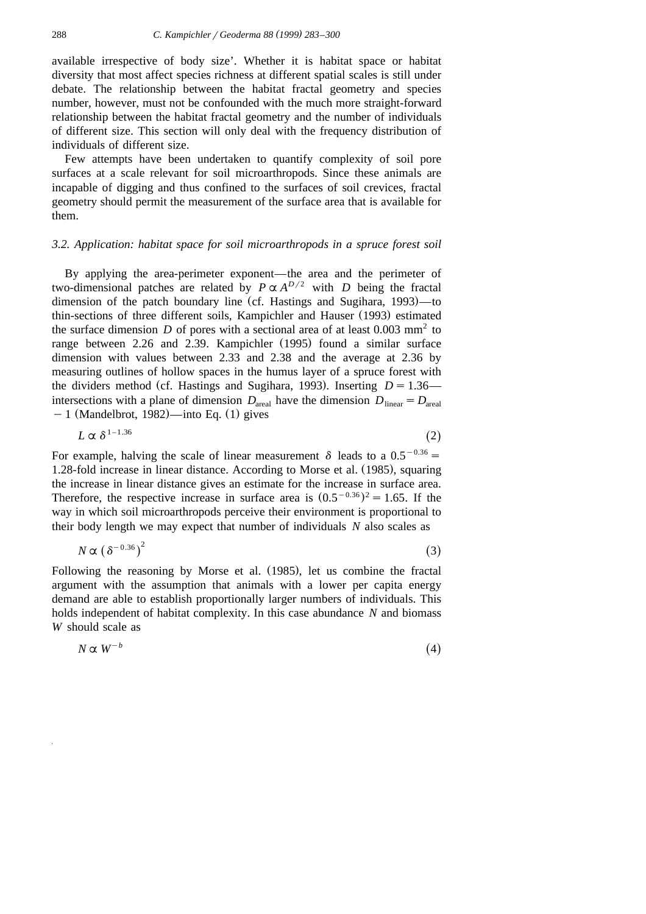available irrespective of body size'. Whether it is habitat space or habitat diversity that most affect species richness at different spatial scales is still under debate. The relationship between the habitat fractal geometry and species number, however, must not be confounded with the much more straight-forward relationship between the habitat fractal geometry and the number of individuals of different size. This section will only deal with the frequency distribution of individuals of different size.

Few attempts have been undertaken to quantify complexity of soil pore surfaces at a scale relevant for soil microarthropods. Since these animals are incapable of digging and thus confined to the surfaces of soil crevices, fractal geometry should permit the measurement of the surface area that is available for them.

## *3.2. Application: habitat space for soil microarthropods in a spruce forest soil*

By applying the area-perimeter exponent—the area and the perimeter of two-dimensional patches are related by  $P \propto A^{D/2}$  with *D* being the fractal dimension of the patch boundary line (cf. Hastings and Sugihara, 1993)—to thin-sections of three different soils, Kampichler and Hauser (1993) estimated the surface dimension *D* of pores with a sectional area of at least  $0.003$  mm<sup>2</sup> to range between 2.26 and 2.39. Kampichler (1995) found a similar surface dimension with values between 2.33 and 2.38 and the average at 2.36 by measuring outlines of hollow spaces in the humus layer of a spruce forest with the dividers method (cf. Hastings and Sugihara, 1993). Inserting  $D = 1.36$  intersections with a plane of dimension  $D_{\text{area}}$  have the dimension  $D_{\text{linear}} = D_{\text{area}}$  $-1$  (Mandelbrot, 1982)—into Eq. (1) gives

$$
L \propto \delta^{1-1.36} \tag{2}
$$

For example, halving the scale of linear measurement  $\delta$  leads to a  $0.5^{-0.36}$  = 1.28-fold increase in linear distance. According to Morse et al. (1985), squaring the increase in linear distance gives an estimate for the increase in surface area. Therefore, the respective increase in surface area is  $(0.5^{-0.36})^2 = 1.65$ . If the way in which soil microarthropods perceive their environment is proportional to their body length we may expect that number of individuals *N* also scales as

$$
N \propto \left(\delta^{-0.36}\right)^2 \tag{3}
$$

Following the reasoning by Morse et al. (1985), let us combine the fractal argument with the assumption that animals with a lower per capita energy demand are able to establish proportionally larger numbers of individuals. This holds independent of habitat complexity. In this case abundance *N* and biomass *W* should scale as

$$
N \propto W^{-b} \tag{4}
$$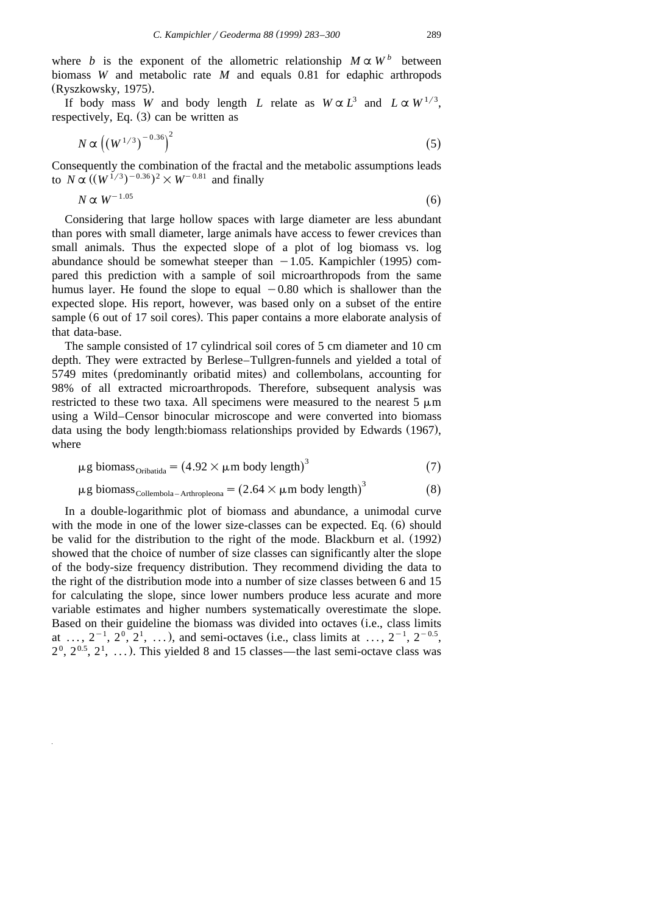where *b* is the exponent of the allometric relationship  $M \propto W^b$  between biomass *W* and metabolic rate *M* and equals 0.81 for edaphic arthropods (Ryszkowsky, 1975).

If body mass *W* and body length *L* relate as  $W \propto L^3$  and  $L \propto W^{1/3}$ , respectively, Eq.  $(3)$  can be written as

$$
N \propto \left( \left( W^{1/3} \right)^{-0.36} \right)^2 \tag{5}
$$

Consequently the combination of the fractal and the metabolic assumptions leads to  $N \propto ((W^{1/3})^{-0.36})^2 \times W^{-0.81}$  and finally

$$
N \propto W^{-1.05} \tag{6}
$$

Considering that large hollow spaces with large diameter are less abundant than pores with small diameter, large animals have access to fewer crevices than small animals. Thus the expected slope of a plot of log biomass vs. log abundance should be somewhat steeper than  $-1.05$ . Kampichler (1995) compared this prediction with a sample of soil microarthropods from the same humus layer. He found the slope to equal  $-0.80$  which is shallower than the expected slope. His report, however, was based only on a subset of the entire sample (6 out of 17 soil cores). This paper contains a more elaborate analysis of that data-base.

The sample consisted of 17 cylindrical soil cores of 5 cm diameter and 10 cm depth. They were extracted by Berlese–Tullgren-funnels and yielded a total of 5749 mites (predominantly oribatid mites) and collembolans, accounting for 98% of all extracted microarthropods. Therefore, subsequent analysis was restricted to these two taxa. All specimens were measured to the nearest  $5 \mu m$ using a Wild–Censor binocular microscope and were converted into biomass data using the body length: biomass relationships provided by Edwards (1967), where

$$
\mu g \text{ biomass}_{\text{Oribatida}} = (4.92 \times \mu \text{m body length})^3 \tag{7}
$$

$$
\mu \text{g biomass}_{\text{Collembola-Arthropleona}} = (2.64 \times \mu \text{m body length})^3 \tag{8}
$$

In a double-logarithmic plot of biomass and abundance, a unimodal curve with the mode in one of the lower size-classes can be expected. Eq.  $(6)$  should be valid for the distribution to the right of the mode. Blackburn et al. (1992) showed that the choice of number of size classes can significantly alter the slope of the body-size frequency distribution. They recommend dividing the data to the right of the distribution mode into a number of size classes between 6 and 15 for calculating the slope, since lower numbers produce less acurate and more variable estimates and higher numbers systematically overestimate the slope. Based on their guideline the biomass was divided into octaves (i.e., class limits at ...,  $2^{-1}$ ,  $2^{-0.5}$ ,  $2^{1}$ , ...), and semi-octaves (i.e., class limits at ...,  $2^{-1}$ ,  $2^{-0.5}$ ,  $2^0$ ,  $2^{0.5}$ ,  $2^1$ , ...). This yielded 8 and 15 classes—the last semi-octave class was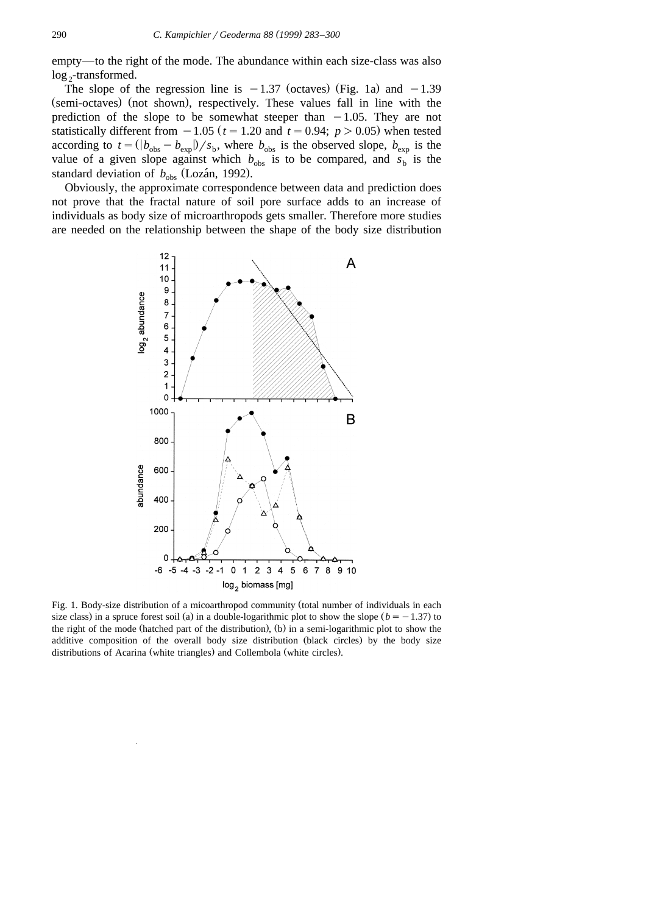empty—to the right of the mode. The abundance within each size-class was also  $log_2$ -transformed.

The slope of the regression line is  $-1.37$  (octaves) (Fig. 1a) and  $-1.39$ (semi-octaves) (not shown), respectively. These values fall in line with the prediction of the slope to be somewhat steeper than  $-1.05$ . They are not statistically different from  $-1.05$  ( $t = 1.20$  and  $t = 0.94$ ;  $p > 0.05$ ) when tested according to  $t = (b_{obs} - b_{exp})/s_b$ , where  $b_{obs}$  is the observed slope,  $b_{exp}$  is the value of a given slope against which  $b_{obs}$  is to be compared, and  $s_b$  is the standard deviation of  $b_{obs}$  (Lozán, 1992).

Obviously, the approximate correspondence between data and prediction does not prove that the fractal nature of soil pore surface adds to an increase of individuals as body size of microarthropods gets smaller. Therefore more studies are needed on the relationship between the shape of the body size distribution



Fig. 1. Body-size distribution of a micoarthropod community (total number of individuals in each size class) in a spruce forest soil (a) in a double-logarithmic plot to show the slope  $(b = -1.37)$  to the right of the mode (hatched part of the distribution), (b) in a semi-logarithmic plot to show the additive composition of the overall body size distribution (black circles) by the body size distributions of Acarina (white triangles) and Collembola (white circles).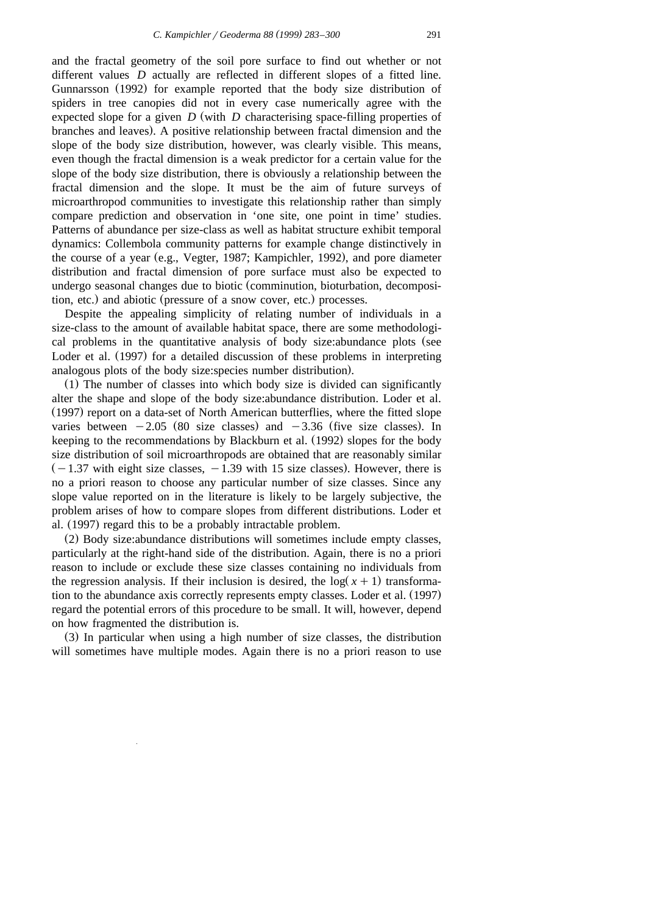and the fractal geometry of the soil pore surface to find out whether or not different values *D* actually are reflected in different slopes of a fitted line. Gunnarsson (1992) for example reported that the body size distribution of spiders in tree canopies did not in every case numerically agree with the expected slope for a given  $D$  (with  $D$  characterising space-filling properties of branches and leaves). A positive relationship between fractal dimension and the slope of the body size distribution, however, was clearly visible. This means, even though the fractal dimension is a weak predictor for a certain value for the slope of the body size distribution, there is obviously a relationship between the fractal dimension and the slope. It must be the aim of future surveys of microarthropod communities to investigate this relationship rather than simply compare prediction and observation in 'one site, one point in time' studies. Patterns of abundance per size-class as well as habitat structure exhibit temporal dynamics: Collembola community patterns for example change distinctively in the course of a year (e.g., Vegter, 1987; Kampichler, 1992), and pore diameter distribution and fractal dimension of pore surface must also be expected to undergo seasonal changes due to biotic (comminution, bioturbation, decomposition, etc.) and abiotic (pressure of a snow cover, etc.) processes.

Despite the appealing simplicity of relating number of individuals in a size-class to the amount of available habitat space, there are some methodological problems in the quantitative analysis of body size: abundance plots (see Loder et al.  $(1997)$  for a detailed discussion of these problems in interpreting analogous plots of the body size: species number distribution.

 $(1)$  The number of classes into which body size is divided can significantly alter the shape and slope of the body size:abundance distribution. Loder et al.  $(1997)$  report on a data-set of North American butterflies, where the fitted slope varies between  $-2.05$  (80 size classes) and  $-3.36$  (five size classes). In keeping to the recommendations by Blackburn et al. (1992) slopes for the body size distribution of soil microarthropods are obtained that are reasonably similar  $(-1.37 \text{ with eight size classes}, -1.39 \text{ with } 15 \text{ size classes})$ . However, there is no a priori reason to choose any particular number of size classes. Since any slope value reported on in the literature is likely to be largely subjective, the problem arises of how to compare slopes from different distributions. Loder et al.  $(1997)$  regard this to be a probably intractable problem.

(2) Body size: abundance distributions will sometimes include empty classes, particularly at the right-hand side of the distribution. Again, there is no a priori reason to include or exclude these size classes containing no individuals from the regression analysis. If their inclusion is desired, the  $log(x + 1)$  transformation to the abundance axis correctly represents empty classes. Loder et al. (1997) regard the potential errors of this procedure to be small. It will, however, depend on how fragmented the distribution is.

 $(3)$  In particular when using a high number of size classes, the distribution will sometimes have multiple modes. Again there is no a priori reason to use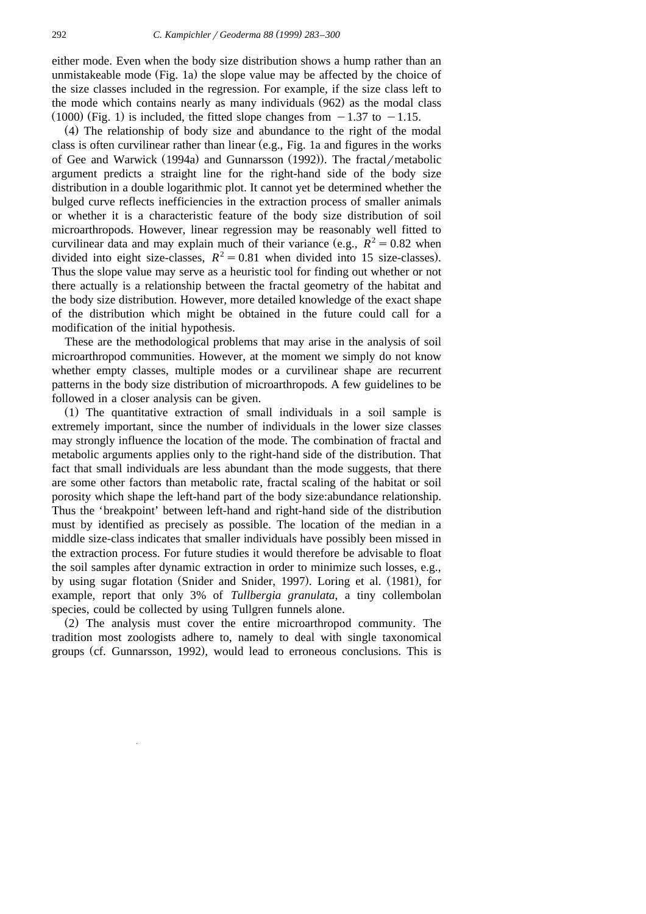either mode. Even when the body size distribution shows a hump rather than an unmistakeable mode  $(Fig. 1a)$  the slope value may be affected by the choice of the size classes included in the regression. For example, if the size class left to the mode which contains nearly as many individuals  $(962)$  as the modal class  $(1000)$  (Fig. 1) is included, the fitted slope changes from  $-1.37$  to  $-1.15$ .

 $(4)$  The relationship of body size and abundance to the right of the modal class is often curvilinear rather than linear  $(e.g., Fig. 1a$  and figures in the works of Gee and Warwick  $(1994a)$  and Gunnarsson  $(1992)$ . The fractal/metabolic argument predicts a straight line for the right-hand side of the body size distribution in a double logarithmic plot. It cannot yet be determined whether the bulged curve reflects inefficiencies in the extraction process of smaller animals or whether it is a characteristic feature of the body size distribution of soil microarthropods. However, linear regression may be reasonably well fitted to curvilinear data and may explain much of their variance (e.g.,  $R^2 = 0.82$  when divided into eight size-classes,  $R^2 = 0.81$  when divided into 15 size-classes). Thus the slope value may serve as a heuristic tool for finding out whether or not there actually is a relationship between the fractal geometry of the habitat and the body size distribution. However, more detailed knowledge of the exact shape of the distribution which might be obtained in the future could call for a modification of the initial hypothesis.

These are the methodological problems that may arise in the analysis of soil microarthropod communities. However, at the moment we simply do not know whether empty classes, multiple modes or a curvilinear shape are recurrent patterns in the body size distribution of microarthropods. A few guidelines to be followed in a closer analysis can be given.

 $(1)$  The quantitative extraction of small individuals in a soil sample is extremely important, since the number of individuals in the lower size classes may strongly influence the location of the mode. The combination of fractal and metabolic arguments applies only to the right-hand side of the distribution. That fact that small individuals are less abundant than the mode suggests, that there are some other factors than metabolic rate, fractal scaling of the habitat or soil porosity which shape the left-hand part of the body size:abundance relationship. Thus the 'breakpoint' between left-hand and right-hand side of the distribution must by identified as precisely as possible. The location of the median in a middle size-class indicates that smaller individuals have possibly been missed in the extraction process. For future studies it would therefore be advisable to float the soil samples after dynamic extraction in order to minimize such losses, e.g., by using sugar flotation (Snider and Snider, 1997). Loring et al. (1981), for example, report that only 3% of *Tullbergia granulata*, a tiny collembolan species, could be collected by using Tullgren funnels alone.

(2) The analysis must cover the entire microarthropod community. The tradition most zoologists adhere to, namely to deal with single taxonomical groups (cf. Gunnarsson, 1992), would lead to erroneous conclusions. This is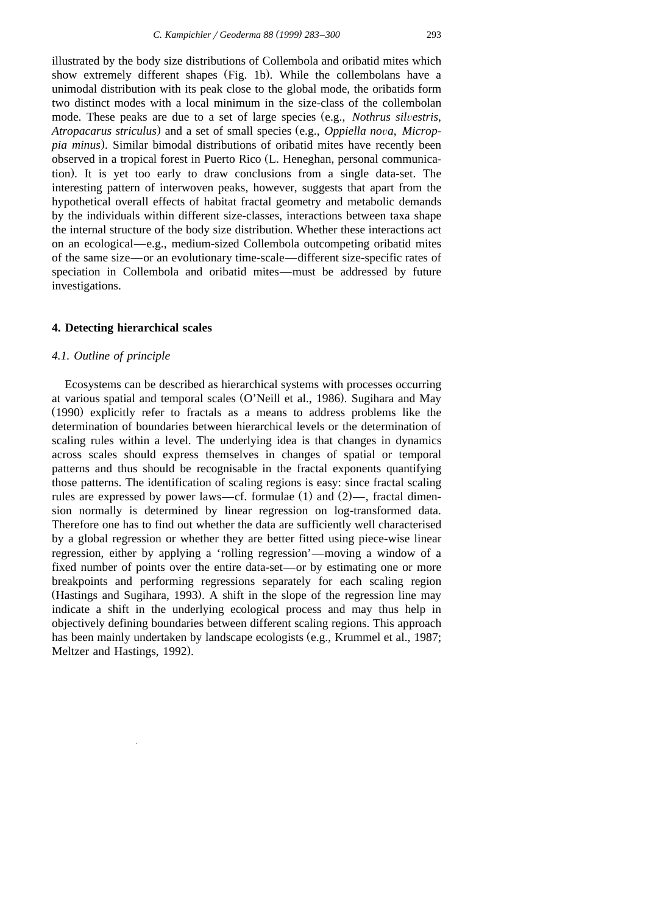illustrated by the body size distributions of Collembola and oribatid mites which show extremely different shapes (Fig. 1b). While the collembolans have a unimodal distribution with its peak close to the global mode, the oribatids form two distinct modes with a local minimum in the size-class of the collembolan mode. These peaks are due to a set of large species (e.g., *Nothrus silvestris*, *Atropacarus striculus*) and a set of small species (e.g., *Oppiella nova, Microppia minus*.. Similar bimodal distributions of oribatid mites have recently been observed in a tropical forest in Puerto Rico (L. Heneghan, personal communication). It is yet too early to draw conclusions from a single data-set. The interesting pattern of interwoven peaks, however, suggests that apart from the hypothetical overall effects of habitat fractal geometry and metabolic demands by the individuals within different size-classes, interactions between taxa shape the internal structure of the body size distribution. Whether these interactions act on an ecological—e.g., medium-sized Collembola outcompeting oribatid mites of the same size—or an evolutionary time-scale—different size-specific rates of speciation in Collembola and oribatid mites—must be addressed by future investigations.

## **4. Detecting hierarchical scales**

## *4.1. Outline of principle*

Ecosystems can be described as hierarchical systems with processes occurring at various spatial and temporal scales (O'Neill et al., 1986). Sugihara and May (1990) explicitly refer to fractals as a means to address problems like the determination of boundaries between hierarchical levels or the determination of scaling rules within a level. The underlying idea is that changes in dynamics across scales should express themselves in changes of spatial or temporal patterns and thus should be recognisable in the fractal exponents quantifying those patterns. The identification of scaling regions is easy: since fractal scaling rules are expressed by power laws—cf. formulae  $(1)$  and  $(2)$ —, fractal dimension normally is determined by linear regression on log-transformed data. Therefore one has to find out whether the data are sufficiently well characterised by a global regression or whether they are better fitted using piece-wise linear regression, either by applying a 'rolling regression'—moving a window of a fixed number of points over the entire data-set—or by estimating one or more breakpoints and performing regressions separately for each scaling region (Hastings and Sugihara, 1993). A shift in the slope of the regression line may indicate a shift in the underlying ecological process and may thus help in objectively defining boundaries between different scaling regions. This approach has been mainly undertaken by landscape ecologists (e.g., Krummel et al., 1987; Meltzer and Hastings, 1992).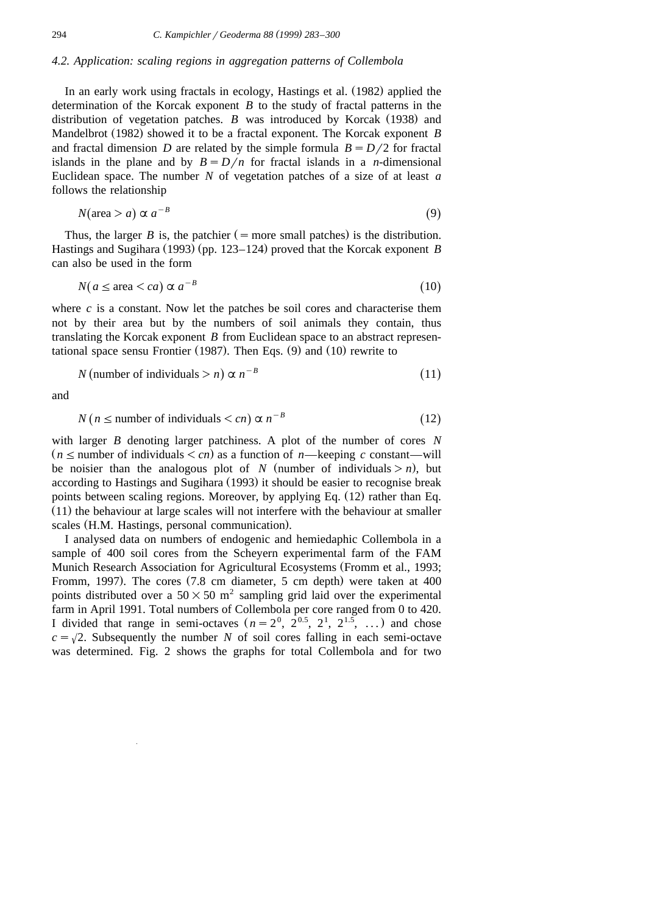## *4.2. Application: scaling regions in aggregation patterns of Collembola*

In an early work using fractals in ecology, Hastings et al. (1982) applied the determination of the Korcak exponent *B* to the study of fractal patterns in the distribution of vegetation patches.  $B$  was introduced by Korcak (1938) and Mandelbrot (1982) showed it to be a fractal exponent. The Korcak exponent  $B$ and fractal dimension *D* are related by the simple formula  $B = D/2$  for fractal islands in the plane and by  $B = D/n$  for fractal islands in a *n*-dimensional Euclidean space. The number *N* of vegetation patches of a size of at least *a* follows the relationship

$$
N(\text{area} > a) \propto a^{-B} \tag{9}
$$

Thus, the larger *B* is, the patchier  $($  = more small patches) is the distribution. Hastings and Sugihara (1993) (pp. 123–124) proved that the Korcak exponent  $\hat{B}$ can also be used in the form

$$
N(a \le \text{area} < ca) \propto a^{-B} \tag{10}
$$

where  $c$  is a constant. Now let the patches be soil cores and characterise them not by their area but by the numbers of soil animals they contain, thus translating the Korcak exponent *B* from Euclidean space to an abstract representational space sensu Frontier (1987). Then Eqs.  $(9)$  and  $(10)$  rewrite to

$$
N \text{ (number of individuals } > n \text{) } \alpha \, n^{-B} \tag{11}
$$

and

$$
N(n \leq \text{number of individuals} < cn) \propto n^{-B} \tag{12}
$$

with larger *B* denoting larger patchiness. A plot of the number of cores *N*  $(n \leq$  number of individuals  $\leq cn$ ) as a function of *n*—keeping *c* constant—will be noisier than the analogous plot of *N* (number of individuals  $\geq n$ ), but according to Hastings and Sugihara (1993) it should be easier to recognise break points between scaling regions. Moreover, by applying Eq.  $(12)$  rather than Eq.  $(11)$  the behaviour at large scales will not interfere with the behaviour at smaller scales (H.M. Hastings, personal communication).

I analysed data on numbers of endogenic and hemiedaphic Collembola in a sample of 400 soil cores from the Scheyern experimental farm of the FAM Munich Research Association for Agricultural Ecosystems (Fromm et al., 1993; Fromm, 1997). The cores  $(7.8 \text{ cm diameter}, 5 \text{ cm depth})$  were taken at  $400$ points distributed over a  $50\times50$  m<sup>2</sup> sampling grid laid over the experimental farm in April 1991. Total numbers of Collembola per core ranged from 0 to 420. I divided that range in semi-octaves  $(n=2^0, 2^{0.5}, 2^1, 2^{1.5}, ...)$  and chose  $c = \sqrt{2}$ . Subsequently the number *N* of soil cores falling in each semi-octave was determined. Fig. 2 shows the graphs for total Collembola and for two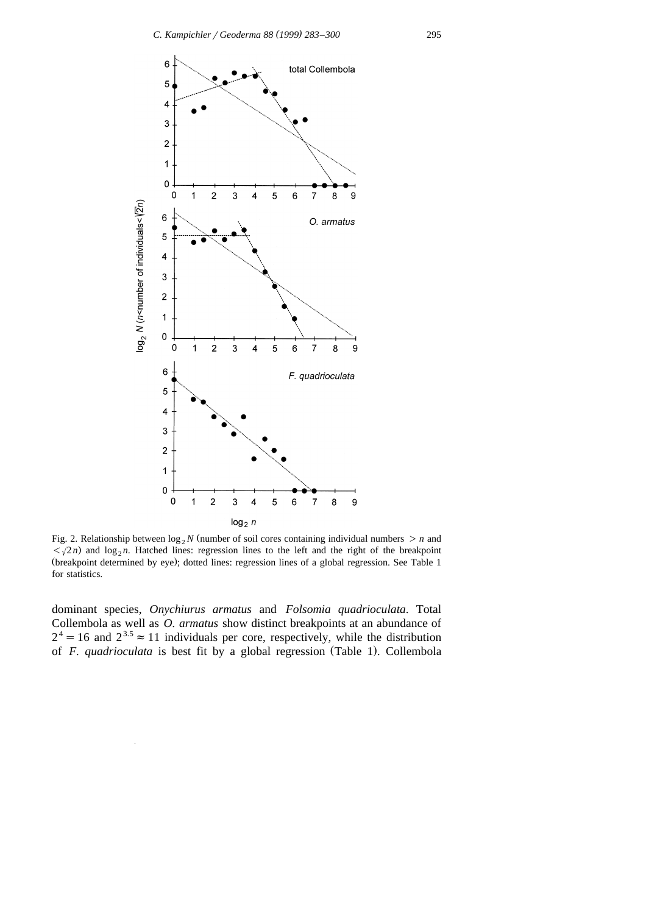

Fig. 2. Relationship between  $\log_2 N$  (number of soil cores containing individual numbers  $> n$  and  $\langle \sqrt{2}n \rangle$  and  $\log_2 n$ . Hatched lines: regression lines to the left and the right of the breakpoint (breakpoint determined by eye); dotted lines: regression lines of a global regression. See Table 1 for statistics.

dominant species, *Onychiurus armatus* and *Folsomia quadrioculata*. Total Collembola as well as *O. armatus* show distinct breakpoints at an abundance of  $2^4 = 16$  and  $2^{3.5} \approx 11$  individuals per core, respectively, while the distribution of *F. quadrioculata* is best fit by a global regression (Table 1). Collembola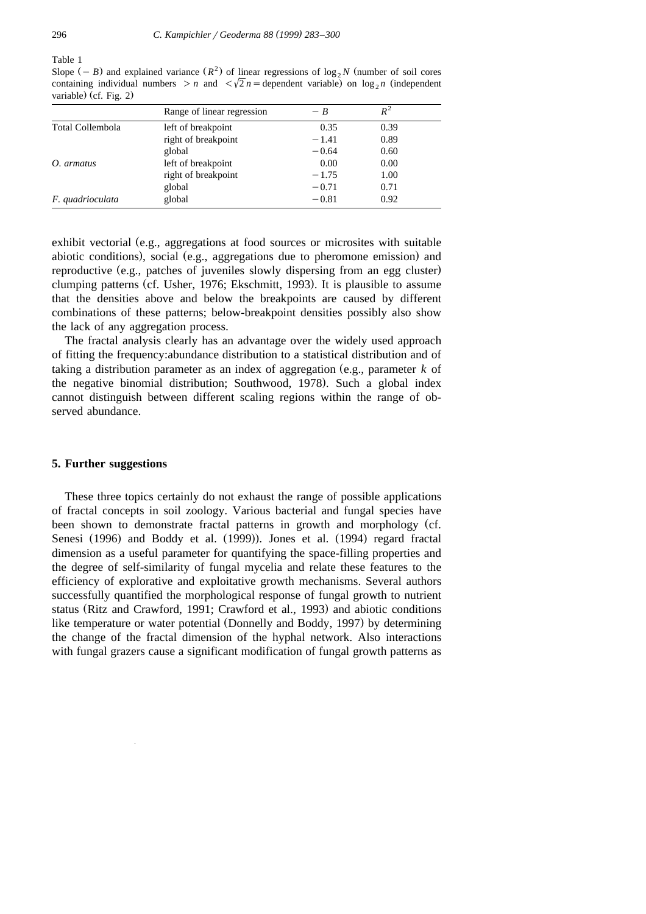Slope  $(-B)$  and explained variance  $(R^2)$  of linear regressions of log<sub>2</sub> N (number of soil cores containing individual numbers  $\gt n$  and  $\lt \sqrt{2} n$  = dependent variable) on log<sub>2</sub> *n* (independent variable) (cf. Fig. 2)

|                  | Range of linear regression | $- B$   | $R^2$ |
|------------------|----------------------------|---------|-------|
| Total Collembola | left of breakpoint         | 0.35    | 0.39  |
|                  | right of breakpoint        | $-1.41$ | 0.89  |
|                  | global                     | $-0.64$ | 0.60  |
| O. armatus       | left of breakpoint         | 0.00    | 0.00  |
|                  | right of breakpoint        | $-1.75$ | 1.00  |
|                  | global                     | $-0.71$ | 0.71  |
| F. quadrioculata | global                     | $-0.81$ | 0.92  |

exhibit vectorial (e.g., aggregations at food sources or microsites with suitable abiotic conditions), social (e.g., aggregations due to pheromone emission) and reproductive (e.g., patches of juveniles slowly dispersing from an egg cluster) clumping patterns (cf. Usher, 1976; Ekschmitt, 1993). It is plausible to assume that the densities above and below the breakpoints are caused by different combinations of these patterns; below-breakpoint densities possibly also show the lack of any aggregation process.

The fractal analysis clearly has an advantage over the widely used approach of fitting the frequency:abundance distribution to a statistical distribution and of taking a distribution parameter as an index of aggregation (e.g., parameter  $k$  of the negative binomial distribution; Southwood, 1978). Such a global index cannot distinguish between different scaling regions within the range of observed abundance.

## **5. Further suggestions**

These three topics certainly do not exhaust the range of possible applications of fractal concepts in soil zoology. Various bacterial and fungal species have been shown to demonstrate fractal patterns in growth and morphology (cf. Senesi (1996) and Boddy et al. (1999)). Jones et al. (1994) regard fractal dimension as a useful parameter for quantifying the space-filling properties and the degree of self-similarity of fungal mycelia and relate these features to the efficiency of explorative and exploitative growth mechanisms. Several authors successfully quantified the morphological response of fungal growth to nutrient status (Ritz and Crawford, 1991; Crawford et al., 1993) and abiotic conditions like temperature or water potential (Donnelly and Boddy, 1997) by determining the change of the fractal dimension of the hyphal network. Also interactions with fungal grazers cause a significant modification of fungal growth patterns as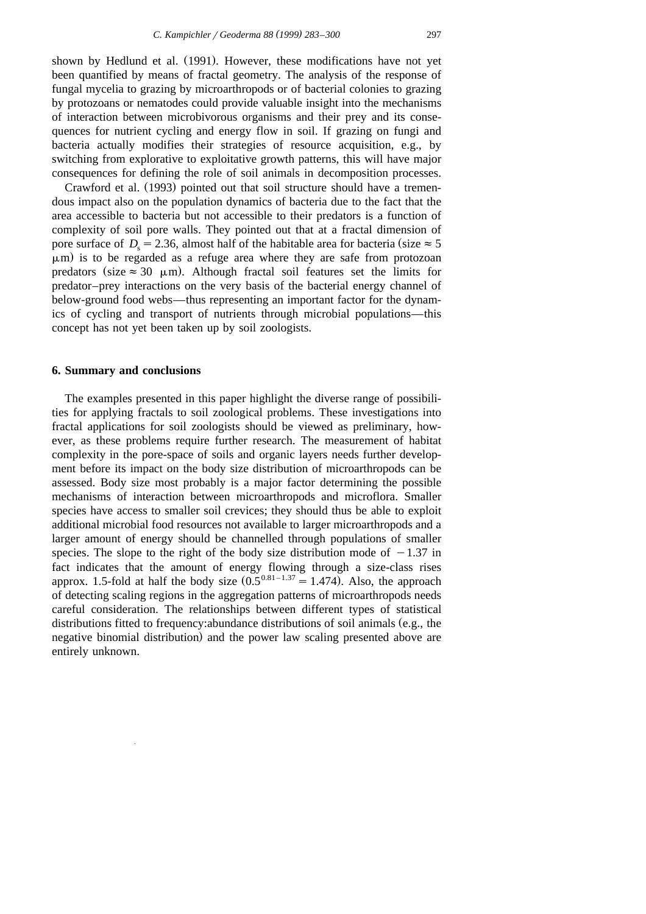shown by Hedlund et al. (1991). However, these modifications have not yet been quantified by means of fractal geometry. The analysis of the response of fungal mycelia to grazing by microarthropods or of bacterial colonies to grazing by protozoans or nematodes could provide valuable insight into the mechanisms of interaction between microbivorous organisms and their prey and its consequences for nutrient cycling and energy flow in soil. If grazing on fungi and bacteria actually modifies their strategies of resource acquisition, e.g., by switching from explorative to exploitative growth patterns, this will have major consequences for defining the role of soil animals in decomposition processes.

Crawford et al. (1993) pointed out that soil structure should have a tremendous impact also on the population dynamics of bacteria due to the fact that the area accessible to bacteria but not accessible to their predators is a function of complexity of soil pore walls. They pointed out that at a fractal dimension of pore surface of  $D<sub>s</sub> = 2.36$ , almost half of the habitable area for bacteria (size  $\approx 5$ )  $\mu$ m) is to be regarded as a refuge area where they are safe from protozoan predators (size  $\approx 30 \mu$ m). Although fractal soil features set the limits for predator–prey interactions on the very basis of the bacterial energy channel of below-ground food webs—thus representing an important factor for the dynamics of cycling and transport of nutrients through microbial populations—this concept has not yet been taken up by soil zoologists.

## **6. Summary and conclusions**

The examples presented in this paper highlight the diverse range of possibilities for applying fractals to soil zoological problems. These investigations into fractal applications for soil zoologists should be viewed as preliminary, however, as these problems require further research. The measurement of habitat complexity in the pore-space of soils and organic layers needs further development before its impact on the body size distribution of microarthropods can be assessed. Body size most probably is a major factor determining the possible mechanisms of interaction between microarthropods and microflora. Smaller species have access to smaller soil crevices; they should thus be able to exploit additional microbial food resources not available to larger microarthropods and a larger amount of energy should be channelled through populations of smaller species. The slope to the right of the body size distribution mode of  $-1.37$  in fact indicates that the amount of energy flowing through a size-class rises approx. 1.5-fold at half the body size  $(0.5^{0.81-1.37} = 1.474)$ . Also, the approach of detecting scaling regions in the aggregation patterns of microarthropods needs careful consideration. The relationships between different types of statistical distributions fitted to frequency: abundance distributions of soil animals (e.g., the negative binomial distribution) and the power law scaling presented above are entirely unknown.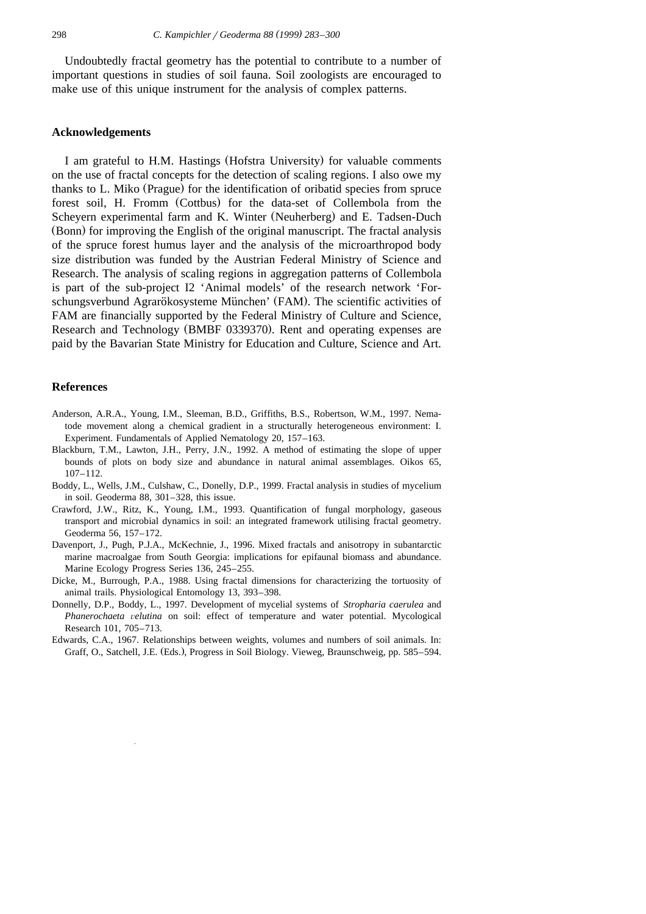Undoubtedly fractal geometry has the potential to contribute to a number of important questions in studies of soil fauna. Soil zoologists are encouraged to make use of this unique instrument for the analysis of complex patterns.

## **Acknowledgements**

I am grateful to H.M. Hastings (Hofstra University) for valuable comments on the use of fractal concepts for the detection of scaling regions. I also owe my thanks to L. Miko (Prague) for the identification of oribatid species from spruce forest soil, H. Fromm (Cottbus) for the data-set of Collembola from the Scheyern experimental farm and K. Winter (Neuherberg) and E. Tadsen-Duch (Bonn) for improving the English of the original manuscript. The fractal analysis of the spruce forest humus layer and the analysis of the microarthropod body size distribution was funded by the Austrian Federal Ministry of Science and Research. The analysis of scaling regions in aggregation patterns of Collembola is part of the sub-project I2 'Animal models' of the research network 'Forschungsverbund Agrarökosysteme München' (FAM). The scientific activities of FAM are financially supported by the Federal Ministry of Culture and Science, Research and Technology (BMBF 0339370). Rent and operating expenses are paid by the Bavarian State Ministry for Education and Culture, Science and Art.

#### **References**

- Anderson, A.R.A., Young, I.M., Sleeman, B.D., Griffiths, B.S., Robertson, W.M., 1997. Nematode movement along a chemical gradient in a structurally heterogeneous environment: I. Experiment. Fundamentals of Applied Nematology 20, 157–163.
- Blackburn, T.M., Lawton, J.H., Perry, J.N., 1992. A method of estimating the slope of upper bounds of plots on body size and abundance in natural animal assemblages. Oikos 65, 107–112.
- Boddy, L., Wells, J.M., Culshaw, C., Donelly, D.P., 1999. Fractal analysis in studies of mycelium in soil. Geoderma 88, 301–328, this issue.
- Crawford, J.W., Ritz, K., Young, I.M., 1993. Quantification of fungal morphology, gaseous transport and microbial dynamics in soil: an integrated framework utilising fractal geometry. Geoderma 56, 157–172.
- Davenport, J., Pugh, P.J.A., McKechnie, J., 1996. Mixed fractals and anisotropy in subantarctic marine macroalgae from South Georgia: implications for epifaunal biomass and abundance. Marine Ecology Progress Series 136, 245–255.
- Dicke, M., Burrough, P.A., 1988. Using fractal dimensions for characterizing the tortuosity of animal trails. Physiological Entomology 13, 393–398.
- Donnelly, D.P., Boddy, L., 1997. Development of mycelial systems of *Stropharia caerulea* and *Phanerochaeta velutina* on soil: effect of temperature and water potential. Mycological Research 101, 705–713.
- Edwards, C.A., 1967. Relationships between weights, volumes and numbers of soil animals. In: Graff, O., Satchell, J.E. (Eds.), Progress in Soil Biology. Vieweg, Braunschweig, pp. 585–594.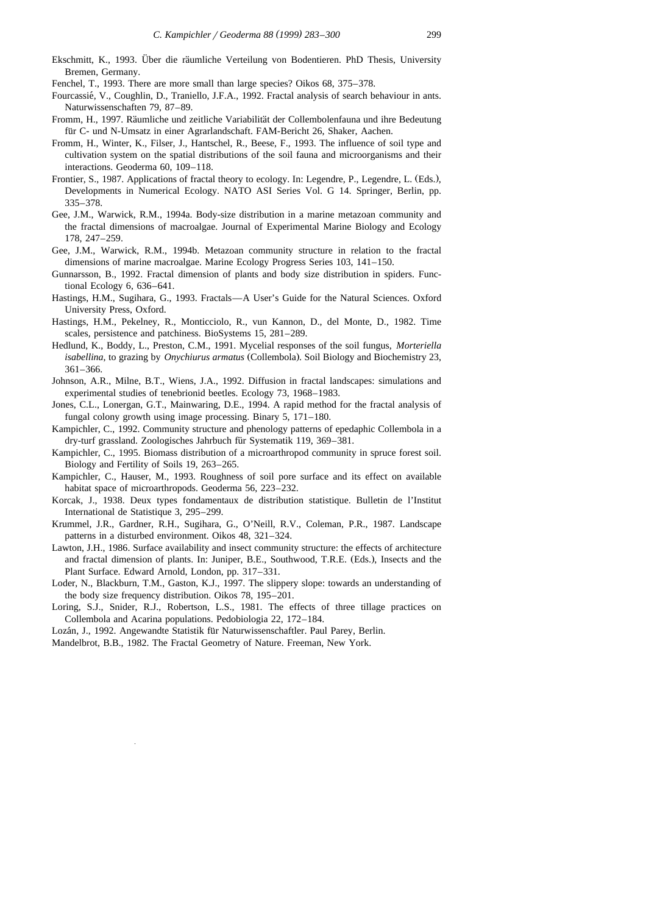- Ekschmitt, K., 1993. Uber die raumliche Verteilung von Bodentieren. PhD Thesis, University ¨ ¨ Bremen, Germany.
- Fenchel, T., 1993. There are more small than large species? Oikos 68, 375–378.
- Fourcassie, V., Coughlin, D., Traniello, J.F.A., 1992. Fractal analysis of search behaviour in ants. ´ Naturwissenschaften 79, 87–89.
- Fromm, H., 1997. Räumliche und zeitliche Variabilität der Collembolenfauna und ihre Bedeutung für C- und N-Umsatz in einer Agrarlandschaft. FAM-Bericht 26, Shaker, Aachen.
- Fromm, H., Winter, K., Filser, J., Hantschel, R., Beese, F., 1993. The influence of soil type and cultivation system on the spatial distributions of the soil fauna and microorganisms and their interactions. Geoderma 60, 109–118.
- Frontier, S., 1987. Applications of fractal theory to ecology. In: Legendre, P., Legendre, L. (Eds.), Developments in Numerical Ecology. NATO ASI Series Vol. G 14. Springer, Berlin, pp. 335–378.
- Gee, J.M., Warwick, R.M., 1994a. Body-size distribution in a marine metazoan community and the fractal dimensions of macroalgae. Journal of Experimental Marine Biology and Ecology 178, 247–259.
- Gee, J.M., Warwick, R.M., 1994b. Metazoan community structure in relation to the fractal dimensions of marine macroalgae. Marine Ecology Progress Series 103, 141–150.
- Gunnarsson, B., 1992. Fractal dimension of plants and body size distribution in spiders. Functional Ecology 6, 636–641.
- Hastings, H.M., Sugihara, G., 1993. Fractals—A User's Guide for the Natural Sciences. Oxford University Press, Oxford.
- Hastings, H.M., Pekelney, R., Monticciolo, R., vun Kannon, D., del Monte, D., 1982. Time scales, persistence and patchiness. BioSystems 15, 281–289.
- Hedlund, K., Boddy, L., Preston, C.M., 1991. Mycelial responses of the soil fungus, *Morteriella isabellina*, to grazing by *Onychiurus armatus* (Collembola). Soil Biology and Biochemistry 23, 361–366.
- Johnson, A.R., Milne, B.T., Wiens, J.A., 1992. Diffusion in fractal landscapes: simulations and experimental studies of tenebrionid beetles. Ecology 73, 1968–1983.
- Jones, C.L., Lonergan, G.T., Mainwaring, D.E., 1994. A rapid method for the fractal analysis of fungal colony growth using image processing. Binary 5, 171–180.
- Kampichler, C., 1992. Community structure and phenology patterns of epedaphic Collembola in a dry-turf grassland. Zoologisches Jahrbuch für Systematik 119, 369–381.
- Kampichler, C., 1995. Biomass distribution of a microarthropod community in spruce forest soil. Biology and Fertility of Soils 19, 263–265.
- Kampichler, C., Hauser, M., 1993. Roughness of soil pore surface and its effect on available habitat space of microarthropods. Geoderma 56, 223–232.
- Korcak, J., 1938. Deux types fondamentaux de distribution statistique. Bulletin de l'Institut International de Statistique 3, 295–299.
- Krummel, J.R., Gardner, R.H., Sugihara, G., O'Neill, R.V., Coleman, P.R., 1987. Landscape patterns in a disturbed environment. Oikos 48, 321–324.
- Lawton, J.H., 1986. Surface availability and insect community structure: the effects of architecture and fractal dimension of plants. In: Juniper, B.E., Southwood, T.R.E. (Eds.), Insects and the Plant Surface. Edward Arnold, London, pp. 317–331.
- Loder, N., Blackburn, T.M., Gaston, K.J., 1997. The slippery slope: towards an understanding of the body size frequency distribution. Oikos 78, 195–201.
- Loring, S.J., Snider, R.J., Robertson, L.S., 1981. The effects of three tillage practices on Collembola and Acarina populations. Pedobiologia 22, 172–184.
- Lozán, J., 1992. Angewandte Statistik für Naturwissenschaftler. Paul Parey, Berlin.
- Mandelbrot, B.B., 1982. The Fractal Geometry of Nature. Freeman, New York.